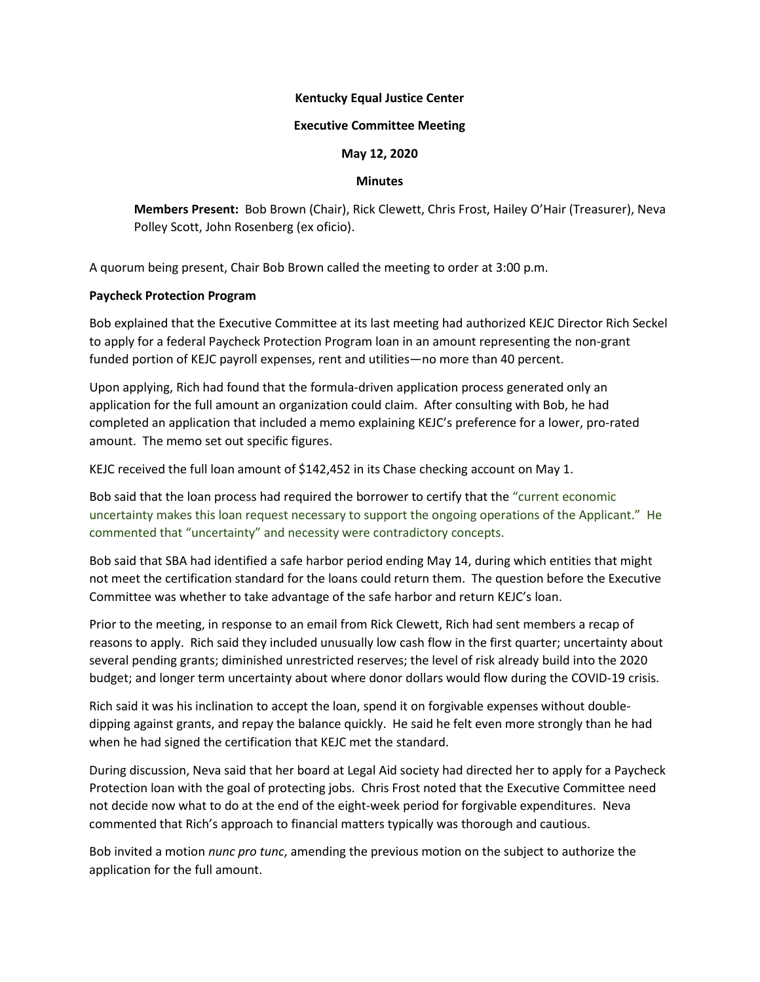## **Kentucky Equal Justice Center**

### **Executive Committee Meeting**

# **May 12, 2020**

### **Minutes**

**Members Present:** Bob Brown (Chair), Rick Clewett, Chris Frost, Hailey O'Hair (Treasurer), Neva Polley Scott, John Rosenberg (ex oficio).

A quorum being present, Chair Bob Brown called the meeting to order at 3:00 p.m.

# **Paycheck Protection Program**

Bob explained that the Executive Committee at its last meeting had authorized KEJC Director Rich Seckel to apply for a federal Paycheck Protection Program loan in an amount representing the non-grant funded portion of KEJC payroll expenses, rent and utilities—no more than 40 percent.

Upon applying, Rich had found that the formula-driven application process generated only an application for the full amount an organization could claim. After consulting with Bob, he had completed an application that included a memo explaining KEJC's preference for a lower, pro-rated amount. The memo set out specific figures.

KEJC received the full loan amount of \$142,452 in its Chase checking account on May 1.

Bob said that the loan process had required the borrower to certify that the "current economic uncertainty makes this loan request necessary to support the ongoing operations of the Applicant." He commented that "uncertainty" and necessity were contradictory concepts.

Bob said that SBA had identified a safe harbor period ending May 14, during which entities that might not meet the certification standard for the loans could return them. The question before the Executive Committee was whether to take advantage of the safe harbor and return KEJC's loan.

Prior to the meeting, in response to an email from Rick Clewett, Rich had sent members a recap of reasons to apply. Rich said they included unusually low cash flow in the first quarter; uncertainty about several pending grants; diminished unrestricted reserves; the level of risk already build into the 2020 budget; and longer term uncertainty about where donor dollars would flow during the COVID-19 crisis.

Rich said it was his inclination to accept the loan, spend it on forgivable expenses without doubledipping against grants, and repay the balance quickly. He said he felt even more strongly than he had when he had signed the certification that KEJC met the standard.

During discussion, Neva said that her board at Legal Aid society had directed her to apply for a Paycheck Protection loan with the goal of protecting jobs. Chris Frost noted that the Executive Committee need not decide now what to do at the end of the eight-week period for forgivable expenditures. Neva commented that Rich's approach to financial matters typically was thorough and cautious.

Bob invited a motion *nunc pro tunc*, amending the previous motion on the subject to authorize the application for the full amount.